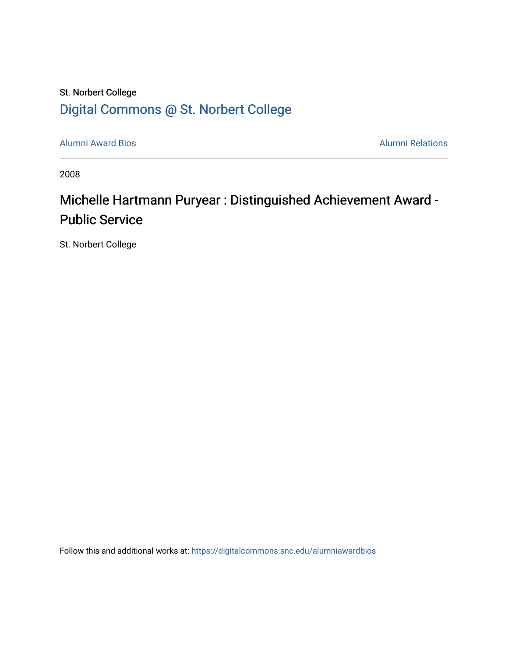### St. Norbert College [Digital Commons @ St. Norbert College](https://digitalcommons.snc.edu/)

[Alumni Award Bios](https://digitalcommons.snc.edu/alumniawardbios) **Alumni Relations** Alumni Relations

2008

## Michelle Hartmann Puryear : Distinguished Achievement Award -Public Service

St. Norbert College

Follow this and additional works at: [https://digitalcommons.snc.edu/alumniawardbios](https://digitalcommons.snc.edu/alumniawardbios?utm_source=digitalcommons.snc.edu%2Falumniawardbios%2F33&utm_medium=PDF&utm_campaign=PDFCoverPages)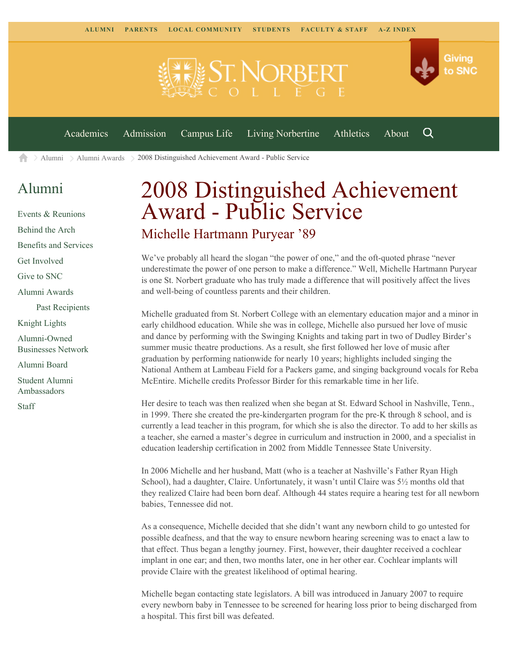

[Alumni](https://www.snc.edu/alumni/) [Alumni Awards](https://www.snc.edu/alumni/awards/) 2008 Distinguished Achievement Award - Public Service A

#### [Alumni](https://www.snc.edu/alumni/index.html)

[Events & Reunions](https://www.snc.edu/alumni/event/index.html) [Behind the Arch](https://www.snc.edu/alumni/event/behindthearch/) [Benefits and Services](https://www.snc.edu/alumni/benefits.html) [Get Involved](https://www.snc.edu/alumni/getinvolved.html) [Give to SNC](http://giving.snc.edu/) [Alumni Awards](https://www.snc.edu/alumni/awards/index.html) [Past Recipients](https://www.snc.edu/alumni/awards/recipients.html) [Knight Lights](https://www.snc.edu/alumni/knightlights/index.html) [Alumni-Owned](https://www.snc.edu/alumni/directory/index.html) [Businesses Network](https://www.snc.edu/alumni/directory/index.html) [Alumni Board](https://www.snc.edu/alumni/alumniboard.html) [Student Alumni](https://www.snc.edu/alumni/saa.html) [Ambassadors](https://www.snc.edu/alumni/saa.html) [Staff](https://www.snc.edu/alumni/contactus.html)

# 2008 Distinguished Achievement Award - Public Service Michelle Hartmann Puryear '89

#### We've probably all heard the slogan "the power of one," and the oft-quoted phrase "never underestimate the power of one person to make a difference." Well, Michelle Hartmann Puryear is one St. Norbert graduate who has truly made a difference that will positively affect the lives

and well-being of countless parents and their children.

Michelle graduated from St. Norbert College with an elementary education major and a minor in early childhood education. While she was in college, Michelle also pursued her love of music and dance by performing with the Swinging Knights and taking part in two of Dudley Birder's summer music theatre productions. As a result, she first followed her love of music after graduation by performing nationwide for nearly 10 years; highlights included singing the National Anthem at Lambeau Field for a Packers game, and singing background vocals for Reba McEntire. Michelle credits Professor Birder for this remarkable time in her life.

Her desire to teach was then realized when she began at St. Edward School in Nashville, Tenn., in 1999. There she created the pre-kindergarten program for the pre-K through 8 school, and is currently a lead teacher in this program, for which she is also the director. To add to her skills as a teacher, she earned a master's degree in curriculum and instruction in 2000, and a specialist in education leadership certification in 2002 from Middle Tennessee State University.

In 2006 Michelle and her husband, Matt (who is a teacher at Nashville's Father Ryan High School), had a daughter, Claire. Unfortunately, it wasn't until Claire was 5½ months old that they realized Claire had been born deaf. Although 44 states require a hearing test for all newborn babies, Tennessee did not.

As a consequence, Michelle decided that she didn't want any newborn child to go untested for possible deafness, and that the way to ensure newborn hearing screening was to enact a law to that effect. Thus began a lengthy journey. First, however, their daughter received a cochlear implant in one ear; and then, two months later, one in her other ear. Cochlear implants will provide Claire with the greatest likelihood of optimal hearing.

Michelle began contacting state legislators. A bill was introduced in January 2007 to require every newborn baby in Tennessee to be screened for hearing loss prior to being discharged from a hospital. This first bill was defeated.